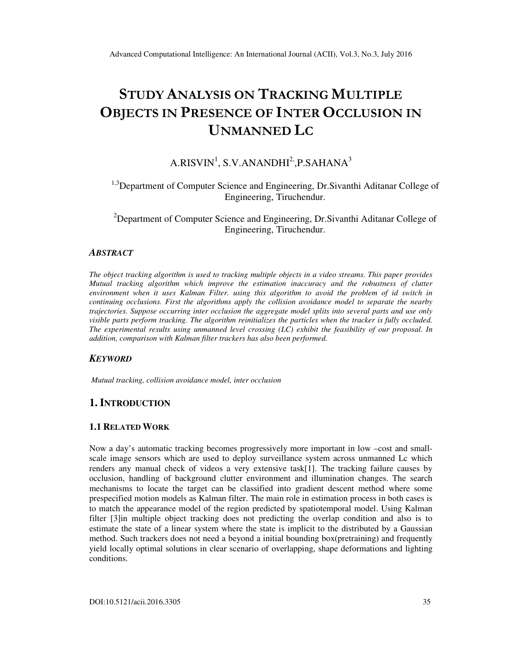# STUDY ANALYSIS ON TRACKING MULTIPLE OBJECTS IN PRESENCE OF INTER OCCLUSION IN UNMANNED LC

# $A.RISVIN<sup>1</sup>, S.V.ANANDHI<sup>2</sup>, P.SAHANA<sup>3</sup>$

# <sup>1,3</sup>Department of Computer Science and Engineering, Dr.Sivanthi Aditanar College of Engineering, Tiruchendur.

<sup>2</sup>Department of Computer Science and Engineering, Dr.Sivanthi Aditanar College of Engineering, Tiruchendur.

#### *ABSTRACT*

*The object tracking algorithm is used to tracking multiple objects in a video streams. This paper provides Mutual tracking algorithm which improve the estimation inaccuracy and the robustness of clutter environment when it uses Kalman Filter. using this algorithm to avoid the problem of id switch in continuing occlusions. First the algorithms apply the collision avoidance model to separate the nearby trajectories. Suppose occurring inter occlusion the aggregate model splits into several parts and use only visible parts perform tracking. The algorithm reinitializes the particles when the tracker is fully occluded. The experimental results using unmanned level crossing (LC) exhibit the feasibility of our proposal. In addition, comparison with Kalman filter trackers has also been performed.* 

#### *KEYWORD*

*Mutual tracking, collision avoidance model, inter occlusion* 

## **1. INTRODUCTION**

#### **1.1 RELATED WORK**

Now a day's automatic tracking becomes progressively more important in low –cost and smallscale image sensors which are used to deploy surveillance system across unmanned Lc which renders any manual check of videos a very extensive task[1]. The tracking failure causes by occlusion, handling of background clutter environment and illumination changes. The search mechanisms to locate the target can be classified into gradient descent method where some prespecified motion models as Kalman filter. The main role in estimation process in both cases is to match the appearance model of the region predicted by spatiotemporal model. Using Kalman filter [3]in multiple object tracking does not predicting the overlap condition and also is to estimate the state of a linear system where the state is implicit to the distributed by a Gaussian method. Such trackers does not need a beyond a initial bounding box(pretraining) and frequently yield locally optimal solutions in clear scenario of overlapping, shape deformations and lighting conditions.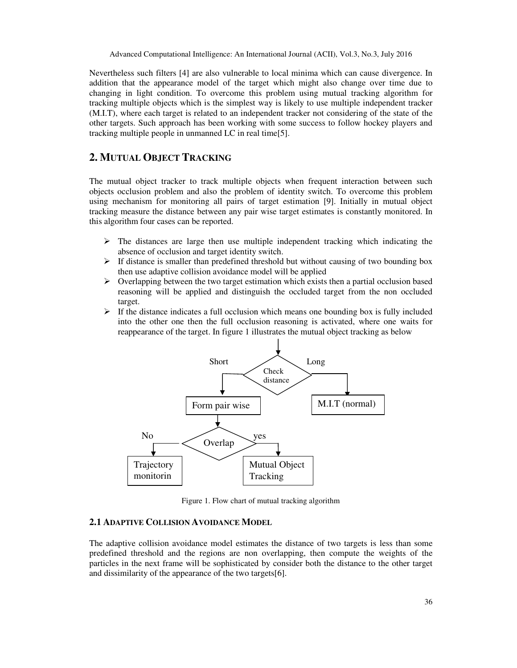Advanced Computational Intelligence: An International Journal (ACII), Vol.3, No.3, July 2016

Nevertheless such filters [4] are also vulnerable to local minima which can cause divergence. In addition that the appearance model of the target which might also change over time due to changing in light condition. To overcome this problem using mutual tracking algorithm for tracking multiple objects which is the simplest way is likely to use multiple independent tracker (M.I.T), where each target is related to an independent tracker not considering of the state of the other targets. Such approach has been working with some success to follow hockey players and tracking multiple people in unmanned LC in real time[5].

# **2. MUTUAL OBJECT TRACKING**

The mutual object tracker to track multiple objects when frequent interaction between such objects occlusion problem and also the problem of identity switch. To overcome this problem using mechanism for monitoring all pairs of target estimation [9]. Initially in mutual object tracking measure the distance between any pair wise target estimates is constantly monitored. In this algorithm four cases can be reported.

- $\triangleright$  The distances are large then use multiple independent tracking which indicating the absence of occlusion and target identity switch.
- $\triangleright$  If distance is smaller than predefined threshold but without causing of two bounding box then use adaptive collision avoidance model will be applied
- $\triangleright$  Overlapping between the two target estimation which exists then a partial occlusion based reasoning will be applied and distinguish the occluded target from the non occluded target.
- $\triangleright$  If the distance indicates a full occlusion which means one bounding box is fully included into the other one then the full occlusion reasoning is activated, where one waits for reappearance of the target. In figure 1 illustrates the mutual object tracking as below



Figure 1. Flow chart of mutual tracking algorithm

#### **2.1 ADAPTIVE COLLISION AVOIDANCE MODEL**

The adaptive collision avoidance model estimates the distance of two targets is less than some predefined threshold and the regions are non overlapping, then compute the weights of the particles in the next frame will be sophisticated by consider both the distance to the other target and dissimilarity of the appearance of the two targets[6].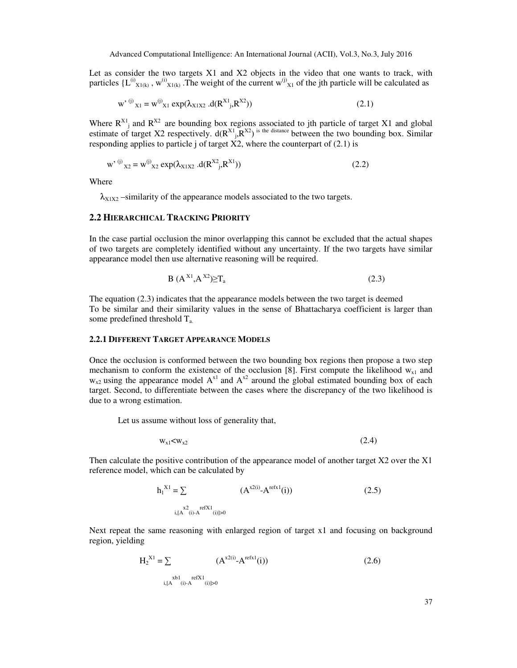Let as consider the two targets X1 and X2 objects in the video that one wants to track, with particles  ${L^{(i)}}_{X1(k)}$ ,  ${w^{(i)}}_{X1(k)}$ . The weight of the current  ${w^{(j)}}_{X1}$  of the jth particle will be calculated as

$$
w'^{(j)}x_1 = w^{(j)}x_1 \exp(\lambda_{X1X2} .d(R^{X1}, R^{X2}))
$$
\n(2.1)

Where  $R^{X_1}$  and  $R^{X_2}$  are bounding box regions associated to jth particle of target X1 and global estimate of target X2 respectively.  $d(R^{X_1}, R^{X_2})$  is the distance between the two bounding box. Similar responding applies to particle j of target  $\overline{X2}$ , where the counterpart of (2.1) is

$$
w'^{(j)}x_2 = w^{(j)}x_2 \exp(\lambda_{X1X2} .d(R^{X2} {}_{j}R^{X1}))
$$
\n(2.2)

Where

 $\lambda_{X1X2}$  –similarity of the appearance models associated to the two targets.

#### **2.2 HIERARCHICAL TRACKING PRIORITY**

In the case partial occlusion the minor overlapping this cannot be excluded that the actual shapes of two targets are completely identified without any uncertainty. If the two targets have similar appearance model then use alternative reasoning will be required.

$$
B(A^{X1},A^{X2}) \geq T_a \tag{2.3}
$$

The equation (2.3) indicates that the appearance models between the two target is deemed To be similar and their similarity values in the sense of Bhattacharya coefficient is larger than some predefined threshold  $T_a$ .

#### **2.2.1 DIFFERENT TARGET APPEARANCE MODELS**

Once the occlusion is conformed between the two bounding box regions then propose a two step mechanism to conform the existence of the occlusion [8]. First compute the likelihood  $w_{x1}$  and  $w_{x2}$  using the appearance model  $A^{x1}$  and  $A^{x2}$  around the global estimated bounding box of each target. Second, to differentiate between the cases where the discrepancy of the two likelihood is due to a wrong estimation.

Let us assume without loss of generality that,

$$
w_{x1} < w_{x2} \tag{2.4}
$$

Then calculate the positive contribution of the appearance model of another target  $X2$  over the  $X1$ reference model, which can be calculated by

$$
h_1^{X1} = \sum_{i,[A^{X^2}(i)-A^{refX1}(i)]>0} (A^{X^2(i)} - A^{refX1}(i))
$$
 (2.5)

Next repeat the same reasoning with enlarged region of target x1 and focusing on background region, yielding

$$
H_2^{XI} = \sum_{i, [A \times I(i)-A \text{ ref } X1]} (A^{X2(i)} - A^{\text{ref } X1}(i))
$$
(2.6)

37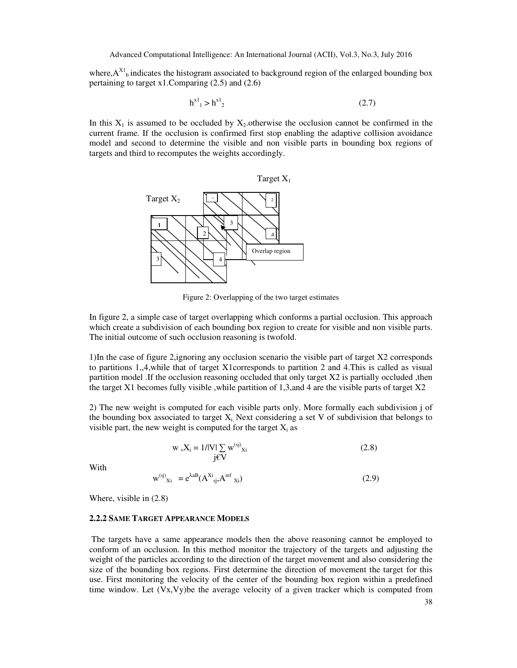where, $A^{XI}$ <sub>b</sub> indicates the histogram associated to background region of the enlarged bounding box pertaining to target x1.Comparing (2.5) and (2.6)

$$
h^{x_1} > h^{x_2}
$$
 (2.7)

In this  $X_1$  is assumed to be occluded by  $X_2$  otherwise the occlusion cannot be confirmed in the current frame. If the occlusion is confirmed first stop enabling the adaptive collision avoidance model and second to determine the visible and non visible parts in bounding box regions of targets and third to recomputes the weights accordingly.





Figure 2: Overlapping of the two target estimates

In figure 2, a simple case of target overlapping which conforms a partial occlusion. This approach which create a subdivision of each bounding box region to create for visible and non visible parts. The initial outcome of such occlusion reasoning is twofold.

1)In the case of figure 2,ignoring any occlusion scenario the visible part of target X2 corresponds to partitions 1,,4,while that of target X1corresponds to partition 2 and 4.This is called as visual partition model .If the occlusion reasoning occluded that only target X2 is partially occluded ,then the target X1 becomes fully visible ,while partition of 1,3,and 4 are the visible parts of target X2

2) The new weight is computed for each visible parts only. More formally each subdivision j of the bounding box associated to target  $X_i$ . Next considering a set V of subdivision that belongs to visible part, the new weight is computed for the target  $X_i$  as

$$
w_v X_i = 1/|V| \sum_{j \in V} w^{(sj)} x_i
$$
 (2.8)

With

$$
\mathbf{w}^{(\text{s})}\mathbf{X}_{\text{i}} = e^{\lambda \mathbf{a} \mathbf{B}} (\mathbf{A}^{\mathbf{X}_{\text{i}}}_{\text{s}j}, \mathbf{A}^{\text{ref}} \mathbf{X}_{\text{i}}) \tag{2.9}
$$

Where, visible in (2.8)

#### **2.2.2 SAME TARGET APPEARANCE MODELS**

 The targets have a same appearance models then the above reasoning cannot be employed to conform of an occlusion. In this method monitor the trajectory of the targets and adjusting the weight of the particles according to the direction of the target movement and also considering the size of the bounding box regions. First determine the direction of movement the target for this use. First monitoring the velocity of the center of the bounding box region within a predefined time window. Let  $(Vx,Vy)$  be the average velocity of a given tracker which is computed from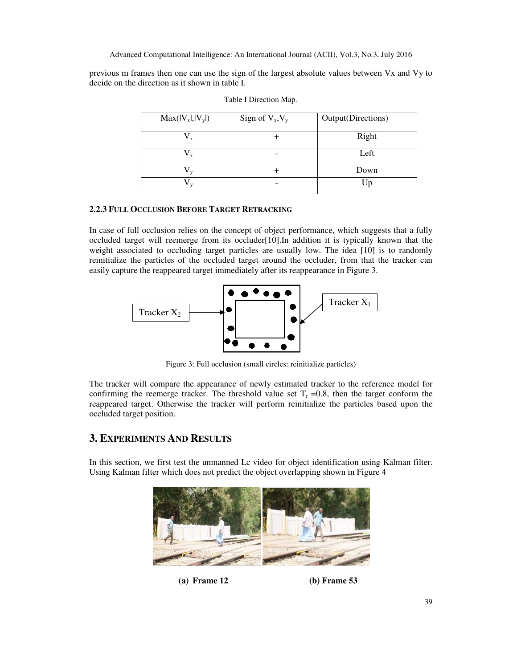Advanced Computational Intelligence: An International Journal (ACII), Vol.3, No.3, July 2016

previous m frames then one can use the sign of the largest absolute values between Vx and Vy to decide on the direction as it shown in table I.

| $Max(V_x ,  V_y )$ | Sign of $V_x$ , $V_y$ | Output(Directions) |
|--------------------|-----------------------|--------------------|
|                    |                       | Right              |
|                    |                       | Left               |
|                    |                       | Down               |
|                    |                       | Up                 |

## **2.2.3 FULL OCCLUSION BEFORE TARGET RETRACKING**

In case of full occlusion relies on the concept of object performance, which suggests that a fully occluded target will reemerge from its occluder[10].In addition it is typically known that the weight associated to occluding target particles are usually low. The idea [10] is to randomly reinitialize the particles of the occluded target around the occluder, from that the tracker can easily capture the reappeared target immediately after its reappearance in Figure 3.



Figure 3: Full occlusion (small circles: reinitialize particles)

The tracker will compare the appearance of newly estimated tracker to the reference model for confirming the reemerge tracker. The threshold value set  $T_r = 0.8$ , then the target conform the reappeared target. Otherwise the tracker will perform reinitialize the particles based upon the occluded target position.

## **3. EXPERIMENTS AND RESULTS**

In this section, we first test the unmanned Lc video for object identification using Kalman filter. Using Kalman filter which does not predict the object overlapping shown in Figure 4



**(a) Frame 12 (b) Frame 53**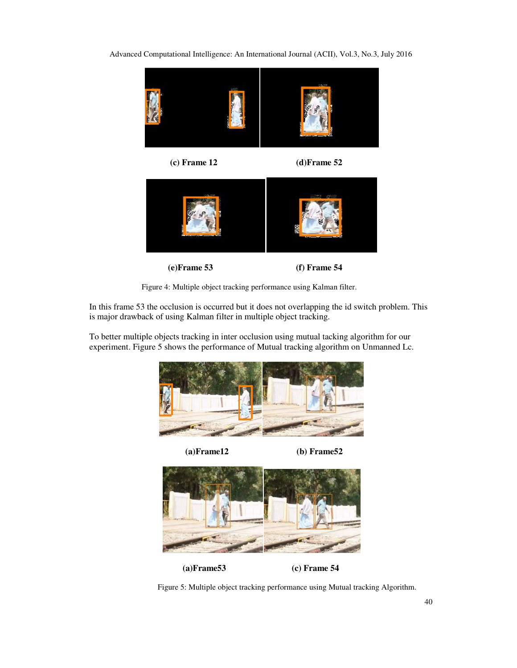Advanced Computational Intelligence: An International Journal (ACII), Vol.3, No.3, July 2016



Figure 4: Multiple object tracking performance using Kalman filter.

In this frame 53 the occlusion is occurred but it does not overlapping the id switch problem. This is major drawback of using Kalman filter in multiple object tracking.

To better multiple objects tracking in inter occlusion using mutual tacking algorithm for our experiment. Figure 5 shows the performance of Mutual tracking algorithm on Unmanned Lc.



 **(a)Frame12 (b) Frame52** 



**(a)Frame53 (c) Frame 54** 

Figure 5: Multiple object tracking performance using Mutual tracking Algorithm.